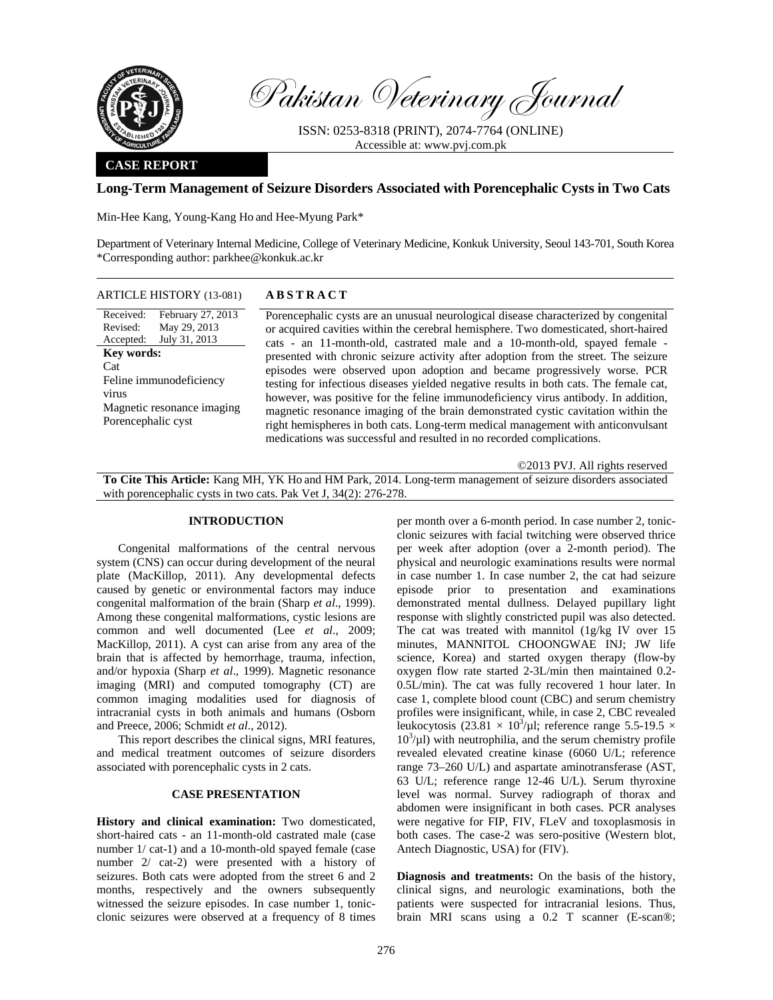

Pakistan Veterinary Journal

ISSN: 0253-8318 (PRINT), 2074-7764 (ONLINE) Accessible at: www.pvj.com.pk

## **CASE REPORT**

#### **Long-Term Management of Seizure Disorders Associated with Porencephalic Cysts in Two Cats**

Min-Hee Kang, Young-Kang Ho and Hee-Myung Park\*

Department of Veterinary Internal Medicine, College of Veterinary Medicine, Konkuk University, Seoul 143-701, South Korea \*Corresponding author: parkhee@konkuk.ac.kr

# ARTICLE HISTORY (13-081) **ABSTRACT**

| Kev words:                 |  |  |
|----------------------------|--|--|
|                            |  |  |
| Feline immunodeficiency    |  |  |
| virus                      |  |  |
| Magnetic resonance imaging |  |  |
| Porencephalic cyst         |  |  |
|                            |  |  |

 Porencephalic cysts are an unusual neurological disease characterized by congenital or acquired cavities within the cerebral hemisphere. Two domesticated, short-haired cats - an 11-month-old, castrated male and a 10-month-old, spayed female presented with chronic seizure activity after adoption from the street. The seizure episodes were observed upon adoption and became progressively worse. PCR testing for infectious diseases yielded negative results in both cats. The female cat, however, was positive for the feline immunodeficiency virus antibody. In addition, magnetic resonance imaging of the brain demonstrated cystic cavitation within the right hemispheres in both cats. Long-term medical management with anticonvulsant medications was successful and resulted in no recorded complications.

©2013 PVJ. All rights reserved

**To Cite This Article:** Kang MH, YK Ho and HM Park, 2014. Long-term management of seizure disorders associated with porencephalic cysts in two cats. Pak Vet J, 34(2): 276-278.

## **INTRODUCTION**

Congenital malformations of the central nervous system (CNS) can occur during development of the neural plate (MacKillop, 2011). Any developmental defects caused by genetic or environmental factors may induce congenital malformation of the brain (Sharp *et al*., 1999). Among these congenital malformations, cystic lesions are common and well documented (Lee *et al*., 2009; MacKillop, 2011). A cyst can arise from any area of the brain that is affected by hemorrhage, trauma, infection, and/or hypoxia (Sharp *et al*., 1999). Magnetic resonance imaging (MRI) and computed tomography (CT) are common imaging modalities used for diagnosis of intracranial cysts in both animals and humans (Osborn and Preece, 2006; Schmidt *et al*., 2012).

This report describes the clinical signs, MRI features, and medical treatment outcomes of seizure disorders associated with porencephalic cysts in 2 cats.

#### **CASE PRESENTATION**

**History and clinical examination:** Two domesticated, short-haired cats - an 11-month-old castrated male (case number 1/ cat-1) and a 10-month-old spayed female (case number 2/ cat-2) were presented with a history of seizures. Both cats were adopted from the street 6 and 2 months, respectively and the owners subsequently witnessed the seizure episodes. In case number 1, tonicclonic seizures were observed at a frequency of 8 times

per month over a 6-month period. In case number 2, tonicclonic seizures with facial twitching were observed thrice per week after adoption (over a 2-month period). The physical and neurologic examinations results were normal in case number 1. In case number 2, the cat had seizure episode prior to presentation and examinations demonstrated mental dullness. Delayed pupillary light response with slightly constricted pupil was also detected. The cat was treated with mannitol (1g/kg IV over 15 minutes, MANNITOL CHOONGWAE INJ; JW life science, Korea) and started oxygen therapy (flow-by oxygen flow rate started 2-3L/min then maintained 0.2- 0.5L/min). The cat was fully recovered 1 hour later. In case 1, complete blood count (CBC) and serum chemistry profiles were insignificant, while, in case 2, CBC revealed leukocytosis (23.81  $\times$  10<sup>3</sup>/µl; reference range 5.5-19.5  $\times$  $10^3/\mu$ I) with neutrophilia, and the serum chemistry profile revealed elevated creatine kinase (6060 U/L; reference range 73–260 U/L) and aspartate aminotransferase (AST, 63 U/L; reference range 12-46 U/L). Serum thyroxine level was normal. Survey radiograph of thorax and abdomen were insignificant in both cases. PCR analyses were negative for FIP, FIV, FLeV and toxoplasmosis in both cases. The case-2 was sero-positive (Western blot, Antech Diagnostic, USA) for (FIV).

**Diagnosis and treatments:** On the basis of the history, clinical signs, and neurologic examinations, both the patients were suspected for intracranial lesions. Thus, brain MRI scans using a 0.2 T scanner (E-scan®;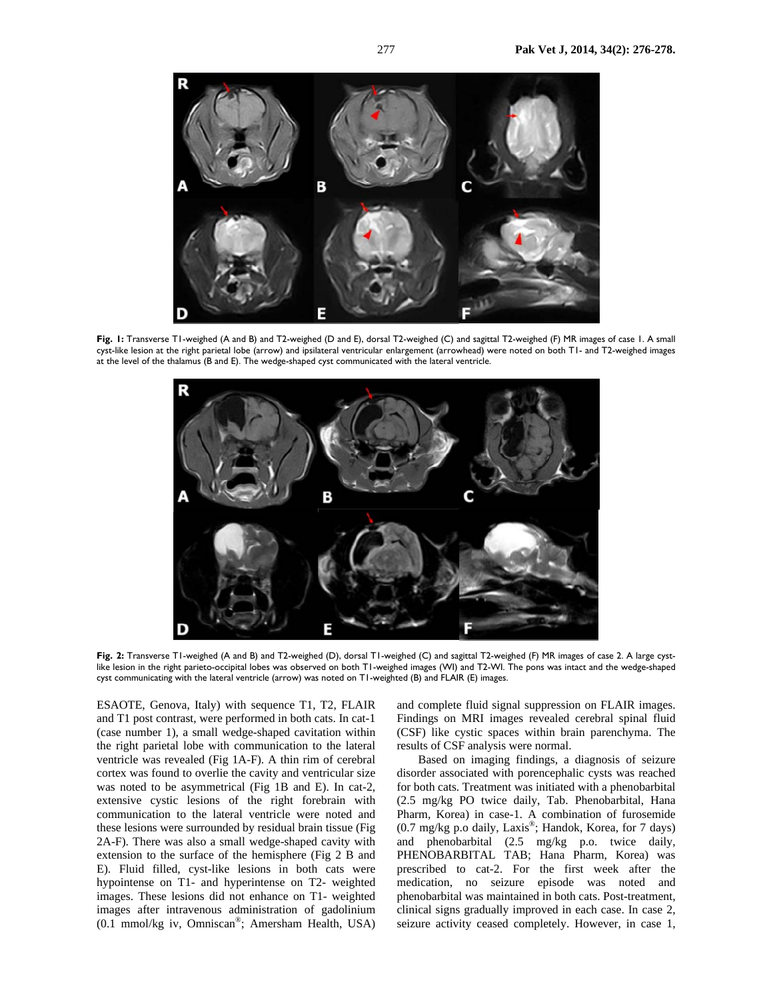

**Fig. 1:** Transverse T1-weighed (A and B) and T2-weighed (D and E), dorsal T2-weighed (C) and sagittal T2-weighed (F) MR images of case 1. A small cyst-like lesion at the right parietal lobe (arrow) and ipsilateral ventricular enlargement (arrowhead) were noted on both T1- and T2-weighed images at the level of the thalamus (B and E). The wedge-shaped cyst communicated with the lateral ventricle.



**Fig. 2:** Transverse T1-weighed (A and B) and T2-weighed (D), dorsal T1-weighed (C) and sagittal T2-weighed (F) MR images of case 2. A large cystlike lesion in the right parieto-occipital lobes was observed on both T1-weighed images (WI) and T2-WI. The pons was intact and the wedge-shaped cyst communicating with the lateral ventricle (arrow) was noted on T1-weighted (B) and FLAIR (E) images.

ESAOTE, Genova, Italy) with sequence T1, T2, FLAIR and T1 post contrast, were performed in both cats. In cat-1 (case number 1), a small wedge-shaped cavitation within the right parietal lobe with communication to the lateral ventricle was revealed (Fig 1A-F). A thin rim of cerebral cortex was found to overlie the cavity and ventricular size was noted to be asymmetrical (Fig 1B and E). In cat-2, extensive cystic lesions of the right forebrain with communication to the lateral ventricle were noted and these lesions were surrounded by residual brain tissue (Fig 2A-F). There was also a small wedge-shaped cavity with extension to the surface of the hemisphere (Fig 2 B and E). Fluid filled, cyst-like lesions in both cats were hypointense on T1- and hyperintense on T2- weighted images. These lesions did not enhance on T1- weighted images after intravenous administration of gadolinium (0.1 mmol/kg iv, Omniscan®; Amersham Health, USA) and complete fluid signal suppression on FLAIR images. Findings on MRI images revealed cerebral spinal fluid (CSF) like cystic spaces within brain parenchyma. The results of CSF analysis were normal.

Based on imaging findings, a diagnosis of seizure disorder associated with porencephalic cysts was reached for both cats. Treatment was initiated with a phenobarbital (2.5 mg/kg PO twice daily, Tab. Phenobarbital, Hana Pharm, Korea) in case-1. A combination of furosemide (0.7 mg/kg p.o daily, Laxis®; Handok, Korea, for 7 days) and phenobarbital (2.5 mg/kg p.o. twice daily, PHENOBARBITAL TAB; Hana Pharm, Korea) was prescribed to cat-2. For the first week after the medication, no seizure episode was noted and phenobarbital was maintained in both cats. Post-treatment, clinical signs gradually improved in each case. In case 2, seizure activity ceased completely. However, in case 1,